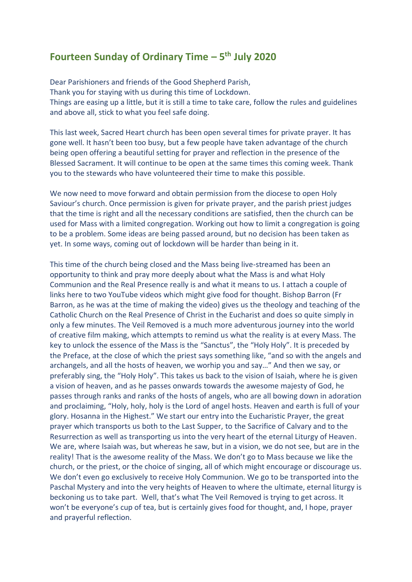## **Fourteen Sunday of Ordinary Time – 5 th July 2020**

Dear Parishioners and friends of the Good Shepherd Parish, Thank you for staying with us during this time of Lockdown. Things are easing up a little, but it is still a time to take care, follow the rules and guidelines and above all, stick to what you feel safe doing.

This last week, Sacred Heart church has been open several times for private prayer. It has gone well. It hasn't been too busy, but a few people have taken advantage of the church being open offering a beautiful setting for prayer and reflection in the presence of the Blessed Sacrament. It will continue to be open at the same times this coming week. Thank you to the stewards who have volunteered their time to make this possible.

We now need to move forward and obtain permission from the diocese to open Holy Saviour's church. Once permission is given for private prayer, and the parish priest judges that the time is right and all the necessary conditions are satisfied, then the church can be used for Mass with a limited congregation. Working out how to limit a congregation is going to be a problem. Some ideas are being passed around, but no decision has been taken as yet. In some ways, coming out of lockdown will be harder than being in it.

This time of the church being closed and the Mass being live-streamed has been an opportunity to think and pray more deeply about what the Mass is and what Holy Communion and the Real Presence really is and what it means to us. I attach a couple of links here to two YouTube videos which might give food for thought. Bishop Barron (Fr Barron, as he was at the time of making the video) gives us the theology and teaching of the Catholic Church on the Real Presence of Christ in the Eucharist and does so quite simply in only a few minutes. The Veil Removed is a much more adventurous journey into the world of creative film making, which attempts to remind us what the reality is at every Mass. The key to unlock the essence of the Mass is the "Sanctus", the "Holy Holy". It is preceded by the Preface, at the close of which the priest says something like, "and so with the angels and archangels, and all the hosts of heaven, we worhip you and say…" And then we say, or preferably sing, the "Holy Holy". This takes us back to the vision of Isaiah, where he is given a vision of heaven, and as he passes onwards towards the awesome majesty of God, he passes through ranks and ranks of the hosts of angels, who are all bowing down in adoration and proclaiming, "Holy, holy, holy is the Lord of angel hosts. Heaven and earth is full of your glory. Hosanna in the Highest." We start our entry into the Eucharistic Prayer, the great prayer which transports us both to the Last Supper, to the Sacrifice of Calvary and to the Resurrection as well as transporting us into the very heart of the eternal Liturgy of Heaven. We are, where Isaiah was, but whereas he saw, but in a vision, we do not see, but are in the reality! That is the awesome reality of the Mass. We don't go to Mass because we like the church, or the priest, or the choice of singing, all of which might encourage or discourage us. We don't even go exclusively to receive Holy Communion. We go to be transported into the Paschal Mystery and into the very heights of Heaven to where the ultimate, eternal liturgy is beckoning us to take part. Well, that's what The Veil Removed is trying to get across. It won't be everyone's cup of tea, but is certainly gives food for thought, and, I hope, prayer and prayerful reflection.